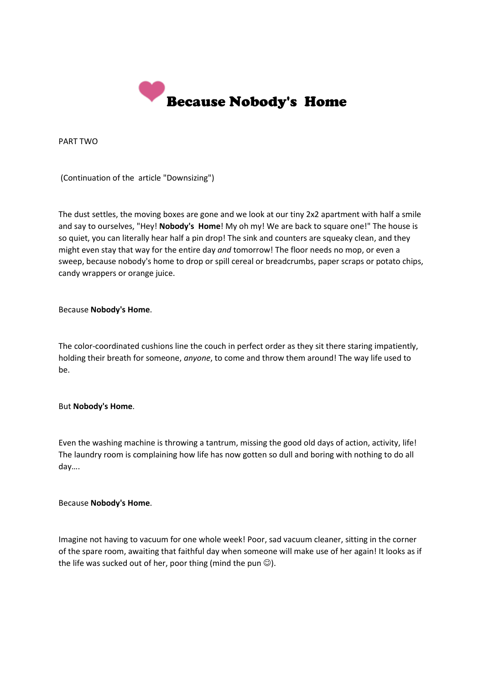

PART TWO

(Continuation of the article "Downsizing")

The dust settles, the moving boxes are gone and we look at our tiny 2x2 apartment with half a smile and say to ourselves, "Hey! **Nobody's Home**! My oh my! We are back to square one!" The house is so quiet, you can literally hear half a pin drop! The sink and counters are squeaky clean, and they might even stay that way for the entire day *and* tomorrow! The floor needs no mop, or even a sweep, because nobody's home to drop or spill cereal or breadcrumbs, paper scraps or potato chips, candy wrappers or orange juice.

## Because **Nobody's Home**.

The color-coordinated cushions line the couch in perfect order as they sit there staring impatiently, holding their breath for someone, *anyone*, to come and throw them around! The way life used to be.

## But **Nobody's Home**.

Even the washing machine is throwing a tantrum, missing the good old days of action, activity, life! The laundry room is complaining how life has now gotten so dull and boring with nothing to do all day….

## Because **Nobody's Home**.

Imagine not having to vacuum for one whole week! Poor, sad vacuum cleaner, sitting in the corner of the spare room, awaiting that faithful day when someone will make use of her again! It looks as if the life was sucked out of her, poor thing (mind the pun  $\circledcirc$ ).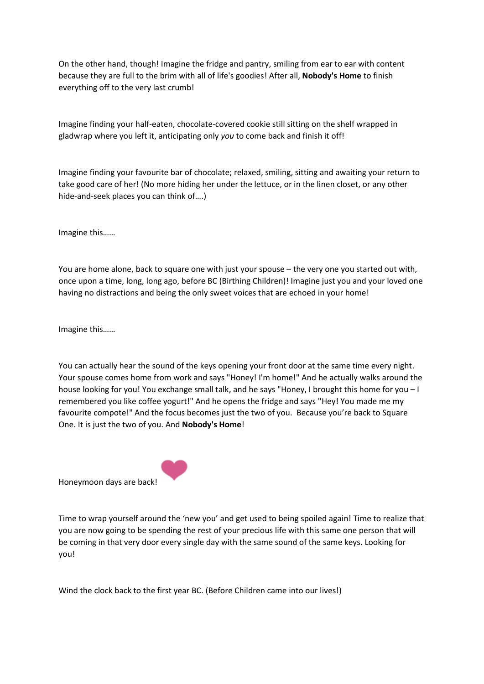On the other hand, though! Imagine the fridge and pantry, smiling from ear to ear with content because they are full to the brim with all of life's goodies! After all, **Nobody's Home** to finish everything off to the very last crumb!

Imagine finding your half-eaten, chocolate-covered cookie still sitting on the shelf wrapped in gladwrap where you left it, anticipating only *you* to come back and finish it off!

Imagine finding your favourite bar of chocolate; relaxed, smiling, sitting and awaiting your return to take good care of her! (No more hiding her under the lettuce, or in the linen closet, or any other hide-and-seek places you can think of….)

Imagine this……

You are home alone, back to square one with just your spouse – the very one you started out with, once upon a time, long, long ago, before BC (Birthing Children)! Imagine just you and your loved one having no distractions and being the only sweet voices that are echoed in your home!

Imagine this……

You can actually hear the sound of the keys opening your front door at the same time every night. Your spouse comes home from work and says "Honey! I'm home!" And he actually walks around the house looking for you! You exchange small talk, and he says "Honey, I brought this home for you – I remembered you like coffee yogurt!" And he opens the fridge and says "Hey! You made me my favourite compote!" And the focus becomes just the two of you. Because you're back to Square One. It is just the two of you. And **Nobody's Home**!



Honeymoon days are back!

Time to wrap yourself around the 'new you' and get used to being spoiled again! Time to realize that you are now going to be spending the rest of your precious life with this same one person that will be coming in that very door every single day with the same sound of the same keys. Looking for you!

Wind the clock back to the first year BC. (Before Children came into our lives!)